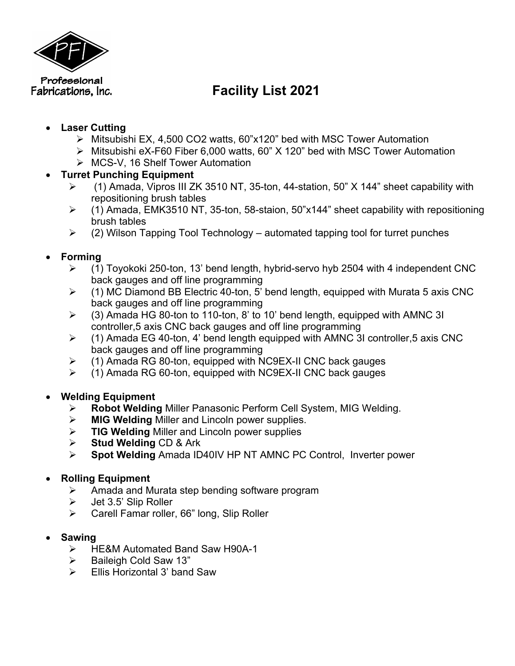

# Fabrications, Inc. **Facility List** 2021

## • **Laser Cutting**

- Ø Mitsubishi EX, 4,500 CO2 watts, 60"x120" bed with MSC Tower Automation
- Ø Mitsubishi eX-F60 Fiber 6,000 watts, 60" X 120" bed with MSC Tower Automation
- Ø MCS-V, 16 Shelf Tower Automation

# • **Turret Punching Equipment**

- $\geq$  (1) Amada, Vipros III ZK 3510 NT, 35-ton, 44-station, 50" X 144" sheet capability with repositioning brush tables
- $\geq$  (1) Amada, EMK3510 NT, 35-ton, 58-staion, 50"x144" sheet capability with repositioning brush tables
- $\geq$  (2) Wilson Tapping Tool Technology automated tapping tool for turret punches

# • **Forming**

- $\geq$  (1) Toyokoki 250-ton, 13' bend length, hybrid-servo hyb 2504 with 4 independent CNC back gauges and off line programming
- $\triangleright$  (1) MC Diamond BB Electric 40-ton, 5' bend length, equipped with Murata 5 axis CNC back gauges and off line programming
- $\geq$  (3) Amada HG 80-ton to 110-ton, 8' to 10' bend length, equipped with AMNC 3I controller,5 axis CNC back gauges and off line programming
- $\ge$  (1) Amada EG 40-ton, 4' bend length equipped with AMNC 3I controller, 5 axis CNC back gauges and off line programming
- $\geq$  (1) Amada RG 80-ton, equipped with NC9EX-II CNC back gauges
- $\triangleright$  (1) Amada RG 60-ton, equipped with NC9EX-II CNC back gauges

# • **Welding Equipment**

- Ø **Robot Welding** Miller Panasonic Perform Cell System, MIG Welding.
- Ø **MIG Welding** Miller and Lincoln power supplies.
- Ø **TIG Welding** Miller and Lincoln power supplies
- Ø **Stud Welding** CD & Ark
- Ø **Spot Welding** Amada ID40IV HP NT AMNC PC Control, Inverter power

# • **Rolling Equipment**

- $\triangleright$  Amada and Murata step bending software program
- $\geq$  Jet 3.5' Slip Roller
- $\triangleright$  Carell Famar roller, 66" long, Slip Roller
- **Sawing**
	- Ø HE&M Automated Band Saw H90A-1
	- $\triangleright$  Baileigh Cold Saw 13"
	- $\triangleright$  Ellis Horizontal 3' band Saw